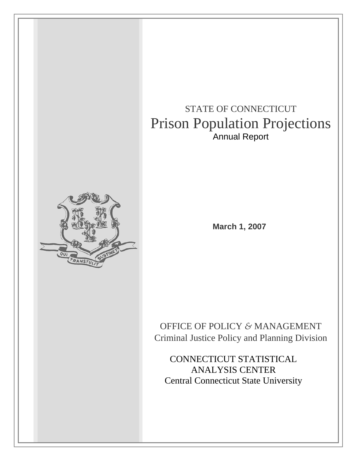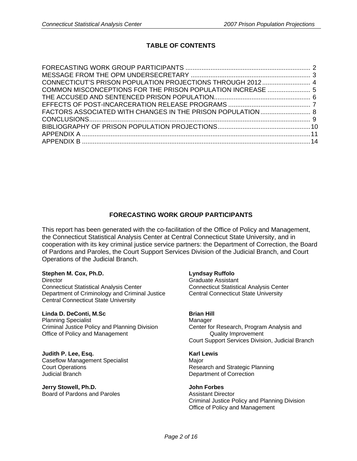# **TABLE OF CONTENTS**

| COMMON MISCONCEPTIONS FOR THE PRISON POPULATION INCREASE  5 |  |
|-------------------------------------------------------------|--|
|                                                             |  |
|                                                             |  |
|                                                             |  |
|                                                             |  |
|                                                             |  |
|                                                             |  |
|                                                             |  |

# **FORECASTING WORK GROUP PARTICIPANTS**

This report has been generated with the co-facilitation of the Office of Policy and Management, the Connecticut Statistical Analysis Center at Central Connecticut State University, and in cooperation with its key criminal justice service partners: the Department of Correction, the Board of Pardons and Paroles, the Court Support Services Division of the Judicial Branch, and Court Operations of the Judicial Branch.

## **Stephen M. Cox, Ph.D. Lyndsay Ruffolo**

Director **Graduate Assistant** Connecticut Statistical Analysis Center Connecticut Statistical Analysis Center Department of Criminology and Criminal Justice Central Connecticut State University Central Connecticut State University

## **Linda D. DeConti, M.Sc Brian Hill**

Planning Specialist Manager Criminal Justice Policy and Planning Division Center for Research, Program Analysis and Office of Policy and Management **Containers** Quality Improvement

**Judith P. Lee, Esq. Karl Lewis** Caseflow Management Specialist Major Judicial Branch Department of Correction

**Jerry Stowell, Ph.D. John Forbes** Board of Pardons and Paroles **Assistant Director** 

Court Support Services Division, Judicial Branch

**Court Operations Court Court Court Court Court Court Court Court Court Court Court Court Court Court Court Court Court Court Court Court Court Court Court Court Court Court Court Court Court Court Court Court Court Court** 

 Criminal Justice Policy and Planning Division Office of Policy and Management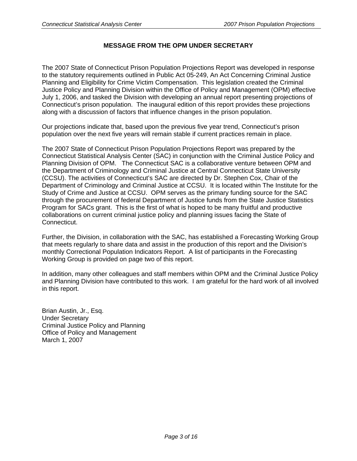# **MESSAGE FROM THE OPM UNDER SECRETARY**

The 2007 State of Connecticut Prison Population Projections Report was developed in response to the statutory requirements outlined in Public Act 05-249, An Act Concerning Criminal Justice Planning and Eligibility for Crime Victim Compensation. This legislation created the Criminal Justice Policy and Planning Division within the Office of Policy and Management (OPM) effective July 1, 2006, and tasked the Division with developing an annual report presenting projections of Connecticut's prison population. The inaugural edition of this report provides these projections along with a discussion of factors that influence changes in the prison population.

Our projections indicate that, based upon the previous five year trend, Connecticut's prison population over the next five years will remain stable if current practices remain in place.

The 2007 State of Connecticut Prison Population Projections Report was prepared by the Connecticut Statistical Analysis Center (SAC) in conjunction with the Criminal Justice Policy and Planning Division of OPM. The Connecticut SAC is a collaborative venture between OPM and the Department of Criminology and Criminal Justice at Central Connecticut State University (CCSU). The activities of Connecticut's SAC are directed by Dr. Stephen Cox, Chair of the Department of Criminology and Criminal Justice at CCSU. It is located within The Institute for the Study of Crime and Justice at CCSU. OPM serves as the primary funding source for the SAC through the procurement of federal Department of Justice funds from the State Justice Statistics Program for SACs grant. This is the first of what is hoped to be many fruitful and productive collaborations on current criminal justice policy and planning issues facing the State of Connecticut.

Further, the Division, in collaboration with the SAC, has established a Forecasting Working Group that meets regularly to share data and assist in the production of this report and the Division's monthly Correctional Population Indicators Report. A list of participants in the Forecasting Working Group is provided on page two of this report.

In addition, many other colleagues and staff members within OPM and the Criminal Justice Policy and Planning Division have contributed to this work. I am grateful for the hard work of all involved in this report.

Brian Austin, Jr., Esq. Under Secretary Criminal Justice Policy and Planning Office of Policy and Management March 1, 2007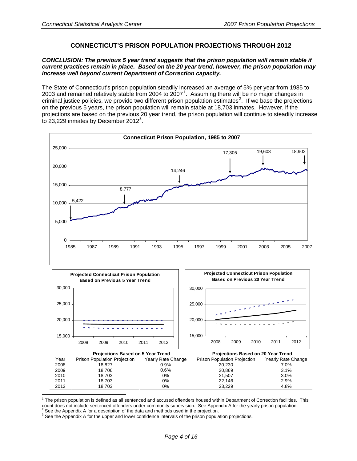# **CONNECTICUT'S PRISON POPULATION PROJECTIONS THROUGH 2012**

## *CONCLUSION: The previous 5 year trend suggests that the prison population will remain stable if current practices remain in place. Based on the 20 year trend, however, the prison population may increase well beyond current Department of Correction capacity.*

The State of Connecticut's prison population steadily increased an average of 5% per year from 1985 to 2003 and remained relatively stable from 2004 to 2007<sup>[1](#page-3-0)</sup>. Assuming there will be no major changes in criminal justice policies, we provide two different prison population estimates<sup>[2](#page-3-1)</sup>. If we base the projections on the previous 5 years, the prison population will remain stable at 18,703 inmates. However, if the projections are based on the previous 20 year trend, the prison population will continue to steadily increase to  $23,229$  $23,229$  $23,229$  inmates by December 2012<sup>3</sup>.





<span id="page-3-0"></span> $1$  The prison population is defined as all sentenced and accused offenders housed within Department of Correction facilities. This count does not include sentenced offenders under community supervision. See Appendix A for the yearly prison population.

<span id="page-3-2"></span><span id="page-3-1"></span> $\frac{3}{3}$  See the Appendix A for a description of the data and methods used in the projection.<br>3 See the Appendix A for the unper and lower septidence intervals of the prices penula <sup>3</sup> See the Appendix A for the upper and lower confidence intervals of the prison population projections.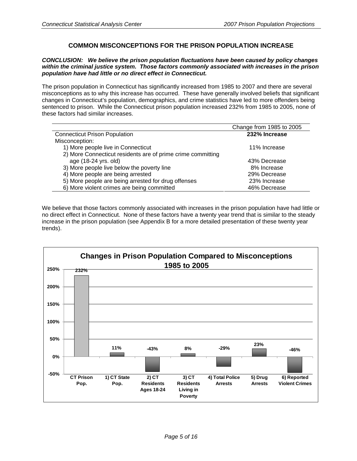# **COMMON MISCONCEPTIONS FOR THE PRISON POPULATION INCREASE**

## *CONCLUSION: We believe the prison population fluctuations have been caused by policy changes within the criminal justice system. Those factors commonly associated with increases in the prison population have had little or no direct effect in Connecticut.*

The prison population in Connecticut has significantly increased from 1985 to 2007 and there are several misconceptions as to why this increase has occurred. These have generally involved beliefs that significant changes in Connecticut's population, demographics, and crime statistics have led to more offenders being sentenced to prison. While the Connecticut prison population increased 232% from 1985 to 2005, none of these factors had similar increases.

|                                                             | Change from 1985 to 2005 |
|-------------------------------------------------------------|--------------------------|
| <b>Connecticut Prison Population</b>                        | 232% Increase            |
| Misconception:                                              |                          |
| 1) More people live in Connecticut                          | 11% Increase             |
| 2) More Connecticut residents are of prime crime committing |                          |
| age (18-24 yrs. old)                                        | 43% Decrease             |
| 3) More people live below the poverty line                  | 8% Increase              |
| 4) More people are being arrested                           | 29% Decrease             |
| 5) More people are being arrested for drug offenses         | 23% Increase             |
| 6) More violent crimes are being committed                  | 46% Decrease             |

We believe that those factors commonly associated with increases in the prison population have had little or no direct effect in Connecticut. None of these factors have a twenty year trend that is similar to the steady increase in the prison population (see Appendix B for a more detailed presentation of these twenty year trends).

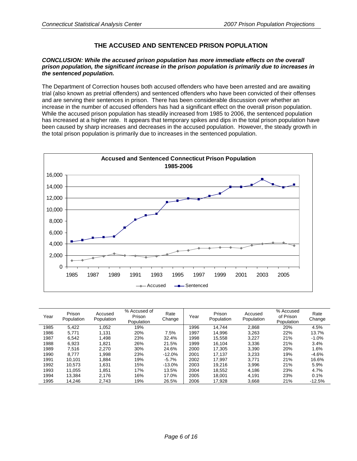# **THE ACCUSED AND SENTENCED PRISON POPULATION**

## *CONCLUSION: While the accused prison population has more immediate effects on the overall prison population, the significant increase in the prison population is primarily due to increases in the sentenced population.*

The Department of Correction houses both accused offenders who have been arrested and are awaiting trial (also known as pretrial offenders) and sentenced offenders who have been convicted of their offenses and are serving their sentences in prison. There has been considerable discussion over whether an increase in the number of accused offenders has had a significant effect on the overall prison population. While the accused prison population has steadily increased from 1985 to 2006, the sentenced population has increased at a higher rate. It appears that temporary spikes and dips in the total prison population have been caused by sharp increases and decreases in the accused population. However, the steady growth in the total prison population is primarily due to increases in the sentenced population.



| Year | Prison<br>Population | Accused<br>Population | % Accused of<br>Prison<br>Population | Rate<br>Change | Year | Prison<br>Population | Accused<br>Population | % Accused<br>of Prison<br>Population | Rate<br>Change |
|------|----------------------|-----------------------|--------------------------------------|----------------|------|----------------------|-----------------------|--------------------------------------|----------------|
| 1985 | 5,422                | 1,052                 | 19%                                  |                | 1996 | 14.744               | 2,868                 | 20%                                  | 4.5%           |
| 1986 | 5.771                | 1.131                 | 20%                                  | 7.5%           | 1997 | 14.996               | 3,263                 | 22%                                  | 13.7%          |
| 1987 | 6.542                | 1,498                 | 23%                                  | 32.4%          | 1998 | 15,558               | 3.227                 | 21%                                  | $-1.0%$        |
| 1988 | 6,923                | 1,821                 | 26%                                  | 21.5%          | 1999 | 16.104               | 3,336                 | 21%                                  | 3.4%           |
| 1989 | 7.516                | 2,270                 | 30%                                  | 24.6%          | 2000 | 17.305               | 3,390                 | 20%                                  | 1.6%           |
| 1990 | 8.777                | 1,998                 | 23%                                  | $-12.0%$       | 2001 | 17.137               | 3,233                 | 19%                                  | $-4.6%$        |
| 1991 | 10.101               | 1,884                 | 19%                                  | $-5.7\%$       | 2002 | 17,997               | 3,771                 | 21%                                  | 16.6%          |
| 1992 | 10.573               | 1,631                 | 15%                                  | $-13.0\%$      | 2003 | 19.216               | 3,996                 | 21%                                  | 5.9%           |
| 1993 | 11.055               | 1.851                 | 17%                                  | 13.5%          | 2004 | 18,552               | 4,186                 | 23%                                  | 4.7%           |
| 1994 | 13.384               | 2.176                 | 16%                                  | 17.0%          | 2005 | 18.001               | 4,191                 | 23%                                  | 0.1%           |
| 1995 | 14,246               | 2,743                 | 19%                                  | 26.5%          | 2006 | 17,928               | 3,668                 | 21%                                  | $-12.5%$       |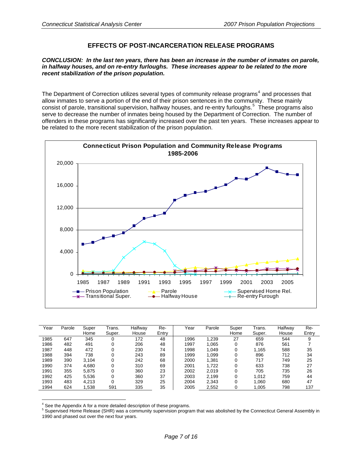# **EFFECTS OF POST-INCARCERATION RELEASE PROGRAMS**

## *CONCLUSION: In the last ten years, there has been an increase in the number of inmates on parole, in halfway houses, and on re-entry furloughs. These increases appear to be related to the more recent stabilization of the prison population.*

The Department of Correction utilizes several types of community release programs<sup>[4](#page-6-0)</sup> and processes that allow inmates to serve a portion of the end of their prison sentences in the community. These mainly consist of parole, transitional supervision, halfway houses, and re-entry furloughs.<sup>[5](#page-6-1)</sup> These programs also serve to decrease the number of inmates being housed by the Department of Correction. The number of offenders in these programs has significantly increased over the past ten years. These increases appear to be related to the more recent stabilization of the prison population.



| Year | Parole | Super<br>Home | Trans.<br>Super. | Halfway<br>House | Re-<br>Entry | Year | Parole | Super<br>Home | Trans.<br>Super. | Halfway<br>House | Re-<br>Entry |
|------|--------|---------------|------------------|------------------|--------------|------|--------|---------------|------------------|------------------|--------------|
| 1985 | 647    | 345           |                  | 172              | 48           | 1996 | 1,239  | 27            | 659              | 544              | 9            |
| 1986 | 482    | 491           |                  | 206              | 48           | 1997 | 1.065  | 0             | 876              | 561              |              |
| 1987 | 448    | 472           |                  | 230              | 74           | 1998 | 1.049  | 0             | 1.165            | 588              | 35           |
| 1988 | 394    | 738           |                  | 243              | 89           | 1999 | 1,099  | 0             | 896              | 712              | 34           |
| 1989 | 390    | 3,104         | 0                | 242              | 68           | 2000 | 1,381  | 0             | 717              | 749              | 25           |
| 1990 | 374    | 4,680         |                  | 310              | 69           | 2001 | 1.722  | 0             | 633              | 738              | 27           |
| 1991 | 355    | 5,875         |                  | 360              | 23           | 2002 | 2.019  | 0             | 705              | 735              | 26           |
| 1992 | 425    | 5,536         |                  | 360              | 37           | 2003 | 2,199  | 0             | 1.012            | 759              | 44           |
| 1993 | 483    | 4,213         | 0                | 329              | 25           | 2004 | 2,343  | 0             | 1.060            | 680              | 47           |
| 1994 | 624    | 1,538         | 591              | 335              | 35           | 2005 | 2,552  | 0             | 1.005            | 798              | 137          |

<span id="page-6-0"></span><sup>&</sup>lt;sup>4</sup> See the Appendix A for a more detailed description of these programs.

 $\overline{a}$ 

<span id="page-6-1"></span><sup>&</sup>lt;sup>5</sup> Supervised Home Release (SHR) was a community supervision program that was abolished by the Connecticut General Assembly in 1990 and phased out over the next four years.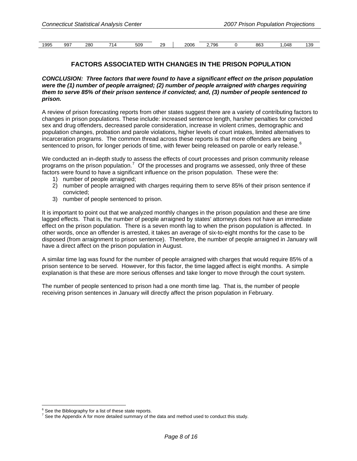| 1995 | ററ~<br>ສສ | 280 | $\Lambda$ | $-00$<br>ასყ | າເ | 2006 | 796 | 863 | 048<br>$\cdot$ . | ו הו<br>:د |
|------|-----------|-----|-----------|--------------|----|------|-----|-----|------------------|------------|
|      |           |     |           |              |    |      |     |     |                  |            |

# **FACTORS ASSOCIATED WITH CHANGES IN THE PRISON POPULATION**

### *CONCLUSION: Three factors that were found to have a significant effect on the prison population were the (1) number of people arraigned; (2) number of people arraigned with charges requiring them to serve 85% of their prison sentence if convicted; and, (3) number of people sentenced to prison.*

A review of prison forecasting reports from other states suggest there are a variety of contributing factors to changes in prison populations. These include: increased sentence length, harsher penalties for convicted sex and drug offenders, decreased parole consideration, increase in violent crimes, demographic and population changes, probation and parole violations, higher levels of court intakes, limited alternatives to incarceration programs. The common thread across these reports is that more offenders are being sentenced to prison, for longer periods of time, with fewer being released on parole or early release.<sup>[6](#page-7-0)</sup>

We conducted an in-depth study to assess the effects of court processes and prison community release programs on the prison population.<sup>[7](#page-7-1)</sup> Of the processes and programs we assessed, only three of these factors were found to have a significant influence on the prison population. These were the:

- 1) number of people arraigned;
- 2) number of people arraigned with charges requiring them to serve 85% of their prison sentence if convicted;
- 3) number of people sentenced to prison.

It is important to point out that we analyzed monthly changes in the prison population and these are time lagged effects. That is, the number of people arraigned by states' attorneys does not have an immediate effect on the prison population. There is a seven month lag to when the prison population is affected. In other words, once an offender is arrested, it takes an average of six-to-eight months for the case to be disposed (from arraignment to prison sentence). Therefore, the number of people arraigned in January will have a direct affect on the prison population in August.

A similar time lag was found for the number of people arraigned with charges that would require 85% of a prison sentence to be served. However, for this factor, the time lagged affect is eight months. A simple explanation is that these are more serious offenses and take longer to move through the court system.

The number of people sentenced to prison had a one month time lag. That is, the number of people receiving prison sentences in January will directly affect the prison population in February.

 $\overline{a}$  $6$  See the Bibliography for a list of these state reports.

<span id="page-7-1"></span><span id="page-7-0"></span> $^7$  See the Appendix A for more detailed summary of the data and method used to conduct this study.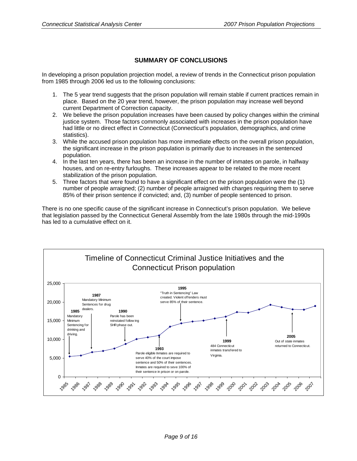# **SUMMARY OF CONCLUSIONS**

In developing a prison population projection model, a review of trends in the Connecticut prison population from 1985 through 2006 led us to the following conclusions:

- 1. The 5 year trend suggests that the prison population will remain stable if current practices remain in place. Based on the 20 year trend, however, the prison population may increase well beyond current Department of Correction capacity.
- 2. We believe the prison population increases have been caused by policy changes within the criminal justice system. Those factors commonly associated with increases in the prison population have had little or no direct effect in Connecticut (Connecticut's population, demographics, and crime statistics).
- 3. While the accused prison population has more immediate effects on the overall prison population, the significant increase in the prison population is primarily due to increases in the sentenced population.
- 4. In the last ten years, there has been an increase in the number of inmates on parole, in halfway houses, and on re-entry furloughs. These increases appear to be related to the more recent stabilization of the prison population.
- 5. Three factors that were found to have a significant effect on the prison population were the (1) number of people arraigned; (2) number of people arraigned with charges requiring them to serve 85% of their prison sentence if convicted; and, (3) number of people sentenced to prison.

There is no one specific cause of the significant increase in Connecticut's prison population. We believe that legislation passed by the Connecticut General Assembly from the late 1980s through the mid-1990s has led to a cumulative effect on it.

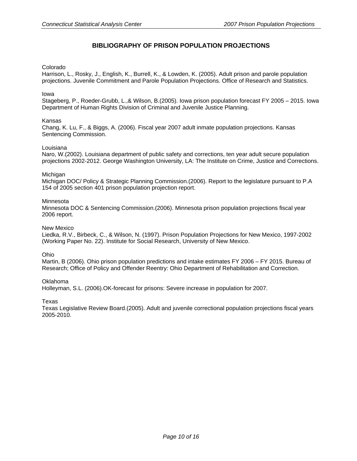# **BIBLIOGRAPHY OF PRISON POPULATION PROJECTIONS**

## Colorado

Harrison, L., Rosky, J., English, K., Burrell, K., & Lowden, K. (2005). Adult prison and parole population projections. Juvenile Commitment and Parole Population Projections. Office of Research and Statistics.

## Iowa

Stageberg, P., Roeder-Grubb, L.,& Wilson, B.(2005). Iowa prison population forecast FY 2005 – 2015. Iowa Department of Human Rights Division of Criminal and Juvenile Justice Planning.

### Kansas

Chang, K. Lu, F., & Biggs, A. (2006). Fiscal year 2007 adult inmate population projections. Kansas Sentencing Commission.

### Louisiana

Naro, W.(2002). Louisiana department of public safety and corrections, ten year adult secure population projections 2002-2012. George Washington University, LA: The Institute on Crime, Justice and Corrections.

### Michigan

Michigan DOC/ Policy & Strategic Planning Commission.(2006). Report to the legislature pursuant to P.A 154 of 2005 section 401 prison population projection report.

### **Minnesota**

Minnesota DOC & Sentencing Commission.(2006). Minnesota prison population projections fiscal year 2006 report.

#### New Mexico

Liedka, R.V., Birbeck, C., & Wilson, N. (1997). Prison Population Projections for New Mexico, 1997-2002 (Working Paper No. 22). Institute for Social Research, University of New Mexico.

Ohio

Martin, B (2006). Ohio prison population predictions and intake estimates FY 2006 – FY 2015. Bureau of Research; Office of Policy and Offender Reentry: Ohio Department of Rehabilitation and Correction.

Oklahoma

Holleyman, S.L. (2006).OK-forecast for prisons: Severe increase in population for 2007.

Texas

Texas Legislative Review Board.(2005). Adult and juvenile correctional population projections fiscal years 2005-2010.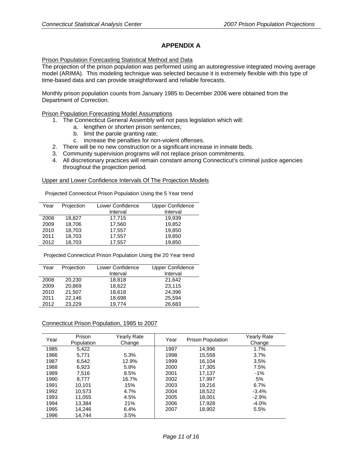# **APPENDIX A**

## Prison Population Forecasting Statistical Method and Data

The projection of the prison population was performed using an autoregressive integrated moving average model (ARIMA). This modeling technique was selected because it is extremely flexible with this type of time-based data and can provide straightforward and reliable forecasts.

Monthly prison population counts from January 1985 to December 2006 were obtained from the Department of Correction.

### Prison Population Forecasting Model Assumptions

- 1. The Connecticut General Assembly will not pass legislation which will:
	- a. lengthen or shorten prison sentences;
	- b. limit the parole granting rate;
	- c. increase the penalties for non-violent offenses.
- 2. There will be no new construction or a significant increase in inmate beds.
- 3. Community supervision programs will not replace prison commitments.
- 4. All discretionary practices will remain constant among Connecticut's criminal justice agencies throughout the projection period.

### Upper and Lower Confidence Intervals Of The Projection Models

Projected Connecticut Prison Population Using the 5 Year trend

| Year | Projection | Lower Confidence | <b>Upper Confidence</b> |
|------|------------|------------------|-------------------------|
|      |            | Interval         | Interval                |
| 2008 | 18,827     | 17,715           | 19.939                  |
| 2009 | 18,706     | 17,560           | 19,852                  |
| 2010 | 18,703     | 17,557           | 19,850                  |
| 2011 | 18,703     | 17,557           | 19,850                  |
| 2012 | 18,703     | 17,557           | 19,850                  |

Projected Connecticut Prison Population Using the 20 Year trend

| Year | Projection | Lower Confidence | <b>Upper Confidence</b> |
|------|------------|------------------|-------------------------|
|      |            |                  |                         |
|      |            | Interval         | Interval                |
| 2008 | 20,230     | 18,818           | 21,642                  |
| 2009 | 20.869     | 18.622           | 23,115                  |
| 2010 | 21,507     | 18,618           | 24,396                  |
| 2011 | 22,146     | 18,698           | 25,594                  |
| 2012 | 23.229     | 19.774           | 26,683                  |

#### Connecticut Prison Population, 1985 to 2007

| Year | Prison<br>Population | <b>Yearly Rate</b><br>Change | Year | Prison Population | Yearly Rate<br>Change |
|------|----------------------|------------------------------|------|-------------------|-----------------------|
| 1985 | 5.422                |                              | 1997 | 14,996            | 1.7%                  |
| 1986 | 5,771                | 5.3%                         | 1998 | 15,558            | 3.7%                  |
| 1987 | 6,542                | 12.9%                        | 1999 | 16,104            | 3.5%                  |
| 1988 | 6.923                | 5.8%                         | 2000 | 17,305            | 7.5%                  |
| 1989 | 7,516                | 8.5%                         | 2001 | 17,137            | $-1%$                 |
| 1990 | 8.777                | 16.7%                        | 2002 | 17.997            | 5%                    |
| 1991 | 10.101               | 15%                          | 2003 | 19,216            | 6.7%                  |
| 1992 | 10.573               | 4.7%                         | 2004 | 18,522            | $-3.4%$               |
| 1993 | 11,055               | 4.5%                         | 2005 | 18.001            | $-2.9%$               |
| 1994 | 13,384               | 21%                          | 2006 | 17,928            | $-4.0\%$              |
| 1995 | 14,246               | 6.4%                         | 2007 | 18,902            | 5.5%                  |
| 1996 | 14.744               | 3.5%                         |      |                   |                       |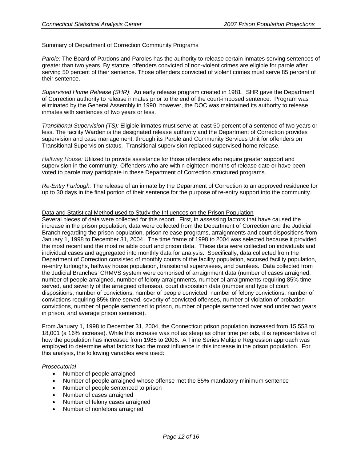## Summary of Department of Correction Community Programs

*Parole:* The Board of Pardons and Paroles has the authority to release certain inmates serving sentences of greater than two years. By statute, offenders convicted of non-violent crimes are eligible for parole after serving 50 percent of their sentence. Those offenders convicted of violent crimes must serve 85 percent of their sentence.

*Supervised Home Release (SHR)*: An early release program created in 1981. SHR gave the Department of Correction authority to release inmates prior to the end of the court-imposed sentence. Program was eliminated by the General Assembly in 1990, however, the DOC was maintained its authority to release inmates with sentences of two years or less.

*Transitional Supervision (TS):* Eligible inmates must serve at least 50 percent of a sentence of two years or less. The facility Warden is the designated release authority and the Department of Correction provides supervision and case management, through its Parole and Community Services Unit for offenders on Transitional Supervision status. Transitional supervision replaced supervised home release.

*Halfway House:* Utilized to provide assistance for those offenders who require greater support and supervision in the community. Offenders who are within eighteen months of release date or have been voted to parole may participate in these Department of Correction structured programs.

*Re-Entry Furlough:* The release of an inmate by the Department of Correction to an approved residence for up to 30 days in the final portion of their sentence for the purpose of re-entry support into the community.

### Data and Statistical Method used to Study the Influences on the Prison Population

Several pieces of data were collected for this report. First, in assessing factors that have caused the increase in the prison population, data were collected from the Department of Correction and the Judicial Branch regarding the prison population, prison release programs, arraignments and court dispositions from January 1, 1998 to December 31, 2004. The time frame of 1998 to 2004 was selected because it provided the most recent and the most reliable court and prison data. These data were collected on individuals and individual cases and aggregated into monthly data for analysis. Specifically, data collected from the Department of Correction consisted of monthly counts of the facility population, accused facility population, re-entry furloughs, halfway house population, transitional supervisees, and parolees. Data collected from the Judicial Branches' CRMVS system were comprised of arraignment data (number of cases arraigned, number of people arraigned, number of felony arraignments, number of arraignments requiring 85% time served, and severity of the arraigned offenses), court disposition data (number and type of court dispositions, number of convictions, number of people convicted, number of felony convictions, number of convictions requiring 85% time served, severity of convicted offenses, number of violation of probation convictions, number of people sentenced to prison, number of people sentenced over and under two years in prison, and average prison sentence).

From January 1, 1998 to December 31, 2004, the Connecticut prison population increased from 15,558 to 18,001 (a 16% increase). While this increase was not as steep as other time periods, it is representative of how the population has increased from 1985 to 2006. A Time Series Multiple Regression approach was employed to determine what factors had the most influence in this increase in the prison population. For this analysis, the following variables were used:

#### *Prosecutorial*

- Number of people arraigned
- Number of people arraigned whose offense met the 85% mandatory minimum sentence
- Number of people sentenced to prison
- Number of cases arraigned
- Number of felony cases arraigned
- Number of nonfelons arraigned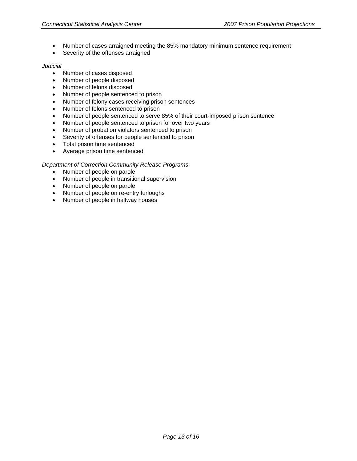- Number of cases arraigned meeting the 85% mandatory minimum sentence requirement
- Severity of the offenses arraigned

### *Judicial*

- Number of cases disposed
- Number of people disposed
- Number of felons disposed
- Number of people sentenced to prison
- Number of felony cases receiving prison sentences
- Number of felons sentenced to prison
- Number of people sentenced to serve 85% of their court-imposed prison sentence
- Number of people sentenced to prison for over two years
- Number of probation violators sentenced to prison
- Severity of offenses for people sentenced to prison
- Total prison time sentenced
- Average prison time sentenced

## *Department of Correction Community Release Programs*

- Number of people on parole
- Number of people in transitional supervision
- Number of people on parole
- Number of people on re-entry furloughs
- Number of people in halfway houses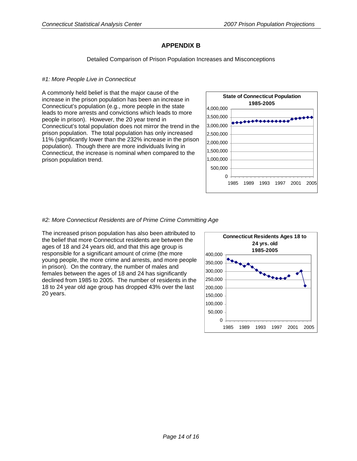# **APPENDIX B**

Detailed Comparison of Prison Population Increases and Misconceptions

## *#1: More People Live in Connecticut*

A commonly held belief is that the major cause of the increase in the prison population has been an increase in Connecticut's population (e.g., more people in the state leads to more arrests and convictions which leads to more people in prison). However, the 20 year trend in Connecticut's total population does not mirror the trend in the prison population. The total population has only increased 11% (significantly lower than the 232% increase in the prison population). Though there are more individuals living in Connecticut, the increase is nominal when compared to the prison population trend.



## *#2: More Connecticut Residents are of Prime Crime Committing Age*

The increased prison population has also been attributed to the belief that more Connecticut residents are between the ages of 18 and 24 years old, and that this age group is responsible for a significant amount of crime (the more young people, the more crime and arrests, and more people in prison). On the contrary, the number of males and females between the ages of 18 and 24 has significantly declined from 1985 to 2005. The number of residents in the 18 to 24 year old age group has dropped 43% over the last 20 years.

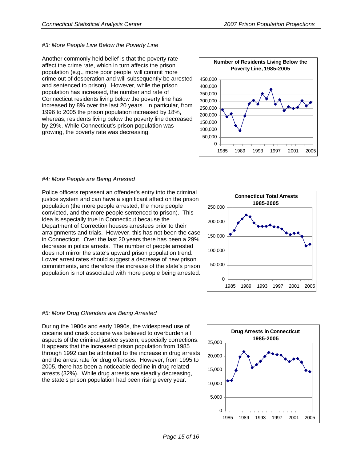# *#3: More People Live Below the Poverty Line*

Another commonly held belief is that the poverty rate affect the crime rate, which in turn affects the prison population (e.g., more poor people will commit more crime out of desperation and will subsequently be arrested and sentenced to prison). However, while the prison population has increased, the number and rate of Connecticut residents living below the poverty line has increased by 8% over the last 20 years. In particular, from 1996 to 2005 the prison population increased by 18%, whereas, residents living below the poverty line decreased by 29%. While Connecticut's prison population was growing, the poverty rate was decreasing.



# *#4: More People are Being Arrested*

Police officers represent an offender's entry into the criminal justice system and can have a significant affect on the prison population (the more people arrested, the more people convicted, and the more people sentenced to prison). This idea is especially true in Connecticut because the Department of Correction houses arrestees prior to their arraignments and trials. However, this has not been the case in Connecticut. Over the last 20 years there has been a 29% decrease in police arrests. The number of people arrested does not mirror the state's upward prison population trend. Lower arrest rates should suggest a decrease of new prison commitments, and therefore the increase of the state's prison population is not associated with more people being arrested.



# *#5: More Drug Offenders are Being Arrested*

During the 1980s and early 1990s, the widespread use of cocaine and crack cocaine was believed to overburden all aspects of the criminal justice system, especially corrections. It appears that the increased prison population from 1985 through 1992 can be attributed to the increase in drug arrests and the arrest rate for drug offenses. However, from 1995 to 2005, there has been a noticeable decline in drug related arrests (32%). While drug arrests are steadily decreasing, the state's prison population had been rising every year.